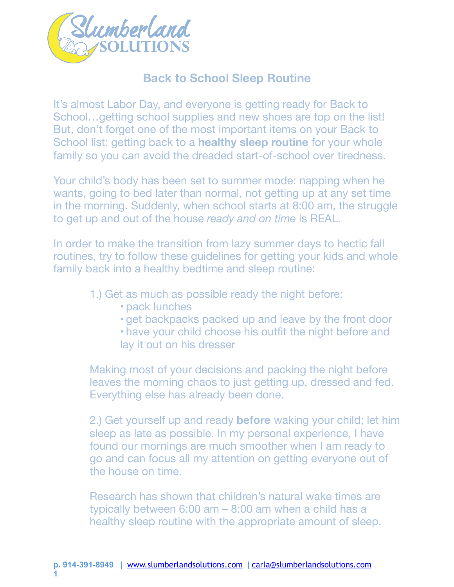

## **Back to School Sleep Routine**

It's almost Labor Day, and everyone is getting ready for Back to School…getting school supplies and new shoes are top on the list! But, don't forget one of the most important items on your Back to School list: getting back to a **healthy sleep routine** for your whole family so you can avoid the dreaded start-of-school over tiredness.

Your child's body has been set to summer mode: napping when he wants, going to bed later than normal, not getting up at any set time in the morning. Suddenly, when school starts at 8:00 am, the struggle to get up and out of the house *ready and on time* is REAL.

In order to make the transition from lazy summer days to hectic fall routines, try to follow these guidelines for getting your kids and whole family back into a healthy bedtime and sleep routine:

- 1.) Get as much as possible ready the night before:
	- pack lunches
	- get backpacks packed up and leave by the front door
	- have your child choose his outfit the night before and lay it out on his dresser

Making most of your decisions and packing the night before leaves the morning chaos to just getting up, dressed and fed. Everything else has already been done.

2.) Get yourself up and ready **before** waking your child; let him sleep as late as possible. In my personal experience, I have found our mornings are much smoother when I am ready to go and can focus all my attention on getting everyone out of the house on time.

Research has shown that children's natural wake times are typically between 6:00 am – 8:00 am when a child has a healthy sleep routine with the appropriate amount of sleep.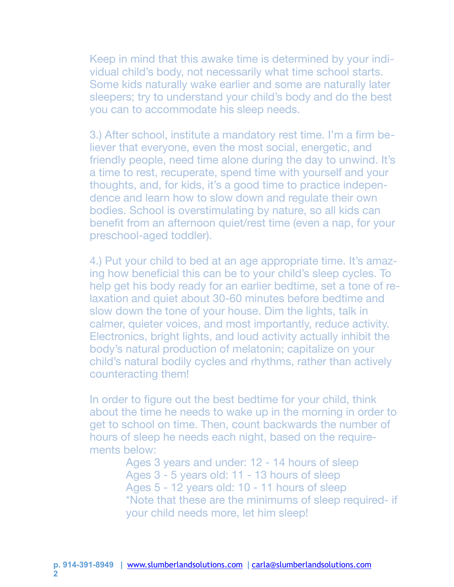Keep in mind that this awake time is determined by your individual child's body, not necessarily what time school starts. Some kids naturally wake earlier and some are naturally later sleepers; try to understand your child's body and do the best you can to accommodate his sleep needs.

3.) After school, institute a mandatory rest time. I'm a firm believer that everyone, even the most social, energetic, and friendly people, need time alone during the day to unwind. It's a time to rest, recuperate, spend time with yourself and your thoughts, and, for kids, it's a good time to practice independence and learn how to slow down and regulate their own bodies. School is overstimulating by nature, so all kids can benefit from an afternoon quiet/rest time (even a nap, for your preschool-aged toddler).

4.) Put your child to bed at an age appropriate time. It's amazing how beneficial this can be to your child's sleep cycles. To help get his body ready for an earlier bedtime, set a tone of relaxation and quiet about 30-60 minutes before bedtime and slow down the tone of your house. Dim the lights, talk in calmer, quieter voices, and most importantly, reduce activity. Electronics, bright lights, and loud activity actually inhibit the body's natural production of melatonin; capitalize on your child's natural bodily cycles and rhythms, rather than actively counteracting them!

In order to figure out the best bedtime for your child, think about the time he needs to wake up in the morning in order to get to school on time. Then, count backwards the number of hours of sleep he needs each night, based on the requirements below:

> Ages 3 years and under: 12 - 14 hours of sleep Ages 3 - 5 years old: 11 - 13 hours of sleep Ages 5 - 12 years old: 10 - 11 hours of sleep \*Note that these are the minimums of sleep required- if your child needs more, let him sleep!